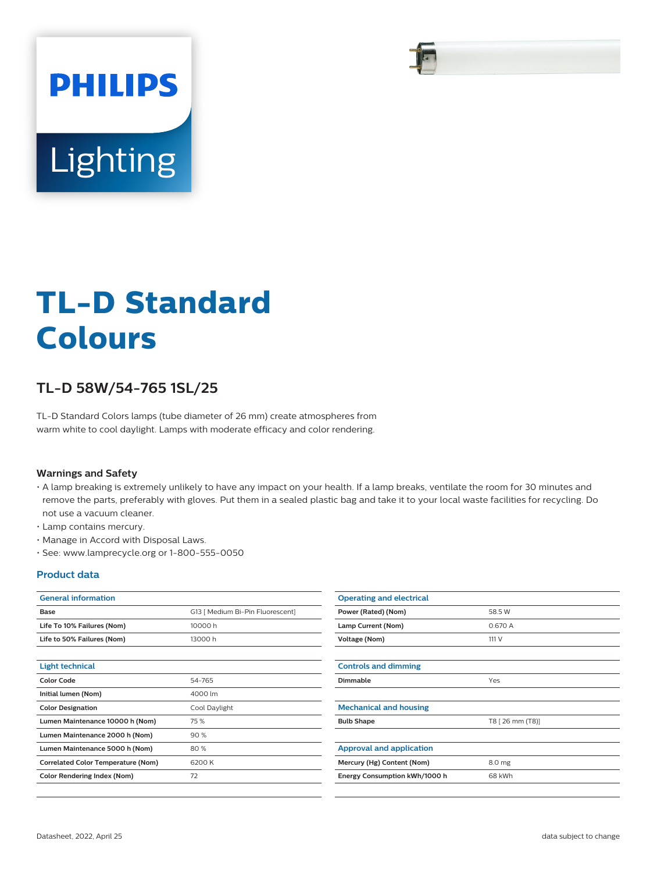

# **TL-D Standard Colours**

## **TL-D 58W/54-765 1SL/25**

TL-D Standard Colors lamps (tube diameter of 26 mm) create atmospheres from warm white to cool daylight. Lamps with moderate efficacy and color rendering.

#### **Warnings and Safety**

- A lamp breaking is extremely unlikely to have any impact on your health. If a lamp breaks, ventilate the room for 30 minutes and remove the parts, preferably with gloves. Put them in a sealed plastic bag and take it to your local waste facilities for recycling. Do not use a vacuum cleaner.
- Lamp contains mercury.
- Manage in Accord with Disposal Laws.
- See: www.lamprecycle.org or 1-800-555-0050

## **Product data**

| <b>General information</b>                |                                  |  |
|-------------------------------------------|----------------------------------|--|
| Base                                      | G13   Medium Bi-Pin Fluorescent] |  |
| Life To 10% Failures (Nom)                | 10000h                           |  |
| Life to 50% Failures (Nom)                | 13000h                           |  |
|                                           |                                  |  |
| <b>Light technical</b>                    |                                  |  |
| <b>Color Code</b>                         | 54-765                           |  |
| Initial lumen (Nom)                       | 4000 lm                          |  |
| <b>Color Designation</b>                  | Cool Daylight                    |  |
| Lumen Maintenance 10000 h (Nom)           | 75 %                             |  |
| Lumen Maintenance 2000 h (Nom)            | 90%                              |  |
| Lumen Maintenance 5000 h (Nom)            | 80%                              |  |
| <b>Correlated Color Temperature (Nom)</b> | 6200K                            |  |
| <b>Color Rendering Index (Nom)</b>        | 72                               |  |

| <b>Operating and electrical</b> |                  |
|---------------------------------|------------------|
| Power (Rated) (Nom)             | 58.5 W           |
| Lamp Current (Nom)              | 0.670 A          |
| Voltage (Nom)                   | 111 V            |
|                                 |                  |
| <b>Controls and dimming</b>     |                  |
| Dimmable                        | Yes              |
|                                 |                  |
| <b>Mechanical and housing</b>   |                  |
| <b>Bulb Shape</b>               | T8 [ 26 mm (T8)] |
|                                 |                  |
| <b>Approval and application</b> |                  |
| Mercury (Hg) Content (Nom)      | 8.0 mg           |
| Energy Consumption kWh/1000 h   | 68 kWh           |
|                                 |                  |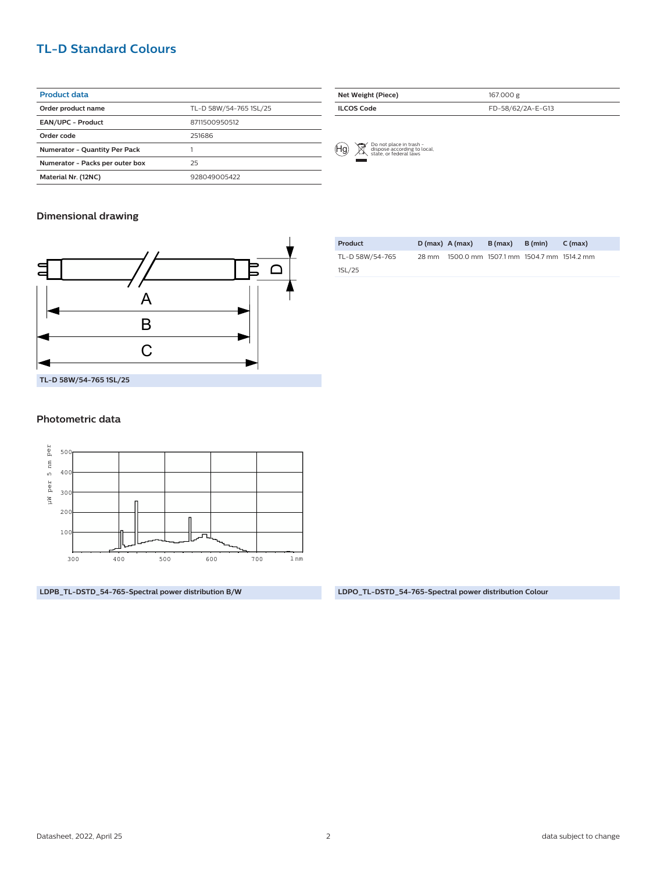## **TL-D Standard Colours**

| <b>Product data</b>                  |                        |  |  |  |  |
|--------------------------------------|------------------------|--|--|--|--|
| Order product name                   | TL-D 58W/54-765 1SL/25 |  |  |  |  |
| EAN/UPC - Product                    | 8711500950512          |  |  |  |  |
| Order code                           | 251686                 |  |  |  |  |
| <b>Numerator - Quantity Per Pack</b> |                        |  |  |  |  |
| Numerator - Packs per outer box      | 25                     |  |  |  |  |
| Material Nr. (12NC)                  | 928049005422           |  |  |  |  |

| Net Weight (Piece) | 167.000 g         |
|--------------------|-------------------|
| <b>ILCOS Code</b>  | FD-58/62/2A-E-G13 |



### **Dimensional drawing**



#### **Photometric data**



**LDPB\_TL-DSTD\_54-765-Spectral power distribution B/W LDPO\_TL-DSTD\_54-765-Spectral power distribution Colour**

| Product         |       | $D(max)$ A (max)                        | B (max) | B (min) | C (max) |
|-----------------|-------|-----------------------------------------|---------|---------|---------|
| TL-D 58W/54-765 | 28 mm | 1500.0 mm 1507.1 mm 1504.7 mm 1514.2 mm |         |         |         |
| 1SL/25          |       |                                         |         |         |         |